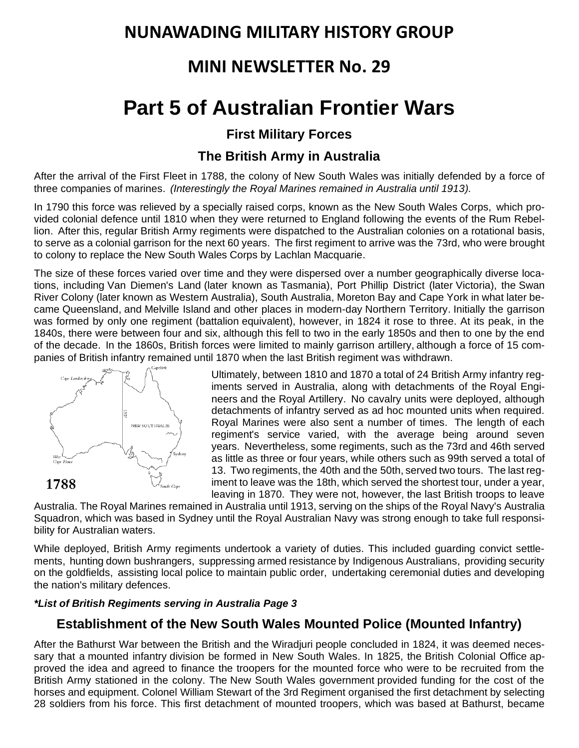## **NUNAWADING MILITARY HISTORY GROUP**

## **MINI NEWSLETTER No. 29**

# **Part 5 of Australian Frontier Wars**

#### **First Military Forces**

#### **The British Army in Australia**

After the arrival of the [First Fleet](https://en.wikipedia.org/wiki/First_Fleet) in 1788, the colony of [New South Wales](https://en.wikipedia.org/wiki/New_South_Wales) was initially defended by a force of three [companies](https://en.wikipedia.org/wiki/Company_(military_unit)) of [marines.](https://en.wikipedia.org/wiki/Royal_Marines) *(Interestingly the Royal Marines remained in Australia until 1913).*

In 1790 this force was relieved by a specially raised corps, known as the New [South Wales Corps,](https://en.wikipedia.org/wiki/New_South_Wales_Corps) which provided colonial defence until 1810 when they were returned to England following the events of the [Rum Rebel](https://en.wikipedia.org/wiki/Rum_Rebellion)[lion.](https://en.wikipedia.org/wiki/Rum_Rebellion) After this, regular British Army regiments were dispatched to the Australian colonies on a rotational basis, to serve as a colonial garrison for the next 60 years. The first regiment to arrive was the [73rd,](https://en.wikipedia.org/wiki/73rd_(Perthshire)_Regiment_of_Foot) who were brought to colony to replace the New South Wales Corps by [Lachlan Macquarie.](https://en.wikipedia.org/wiki/Lachlan_Macquarie)

The size of these forces varied over time and they were dispersed over a number geographically diverse locations, including [Van Diemen's Land](https://en.wikipedia.org/wiki/Van_Diemen%27s_Land) (later known as [Tasmania\)](https://en.wikipedia.org/wiki/Tasmania), Port Phillip District (later [Victoria\)](https://en.wikipedia.org/wiki/Victoria,_Australia), the [Swan](https://en.wikipedia.org/wiki/Swan_River_Colony)  [River Colony](https://en.wikipedia.org/wiki/Swan_River_Colony) (later known as [Western Australia\)](https://en.wikipedia.org/wiki/Western_Australia), [South Australia,](https://en.wikipedia.org/wiki/South_Australia) [Moreton Bay](https://en.wikipedia.org/wiki/Moreton_Bay) and [Cape York](https://en.wikipedia.org/wiki/Cape_York_Peninsula) in what later became [Queensland,](https://en.wikipedia.org/wiki/Queensland) and [Melville Island](https://en.wikipedia.org/wiki/Melville_Island_(Australia)) and other places in modern-day [Northern Territory.](https://en.wikipedia.org/wiki/Northern_Territory) Initially the garrison was formed by only one regiment [\(battalion](https://en.wikipedia.org/wiki/Battalion) equivalent), however, in 1824 it rose to three. At its peak, in the 1840s, there were between four and six, although this fell to two in the early 1850s and then to one by the end of the decade. In the 1860s, British forces were limited to mainly garrison artillery, although a force of 15 companies of British infantry remained until 1870 when the last British regiment was withdrawn.



Ultimately, between 1810 and 1870 a total of 24 British Army infantry regiments served in Australia, along with detachments of the [Royal Engi](https://en.wikipedia.org/wiki/Royal_Engineers)[neers](https://en.wikipedia.org/wiki/Royal_Engineers) and the [Royal Artillery.](https://en.wikipedia.org/wiki/Royal_Artillery) No cavalry units were deployed, although detachments of infantry served as ad hoc mounted units when required. Royal Marines were also sent a number of times. The length of each regiment's service varied, with the average being around seven years. Nevertheless, some regiments, such as the 73rd and [46th](https://en.wikipedia.org/wiki/46th_(South_Devonshire)_Regiment_of_Foot) served as little as three or four years, while others such as 99th served a total of 13. Two regiments, the [40th](https://en.wikipedia.org/wiki/40th_(2nd_Somersetshire)_Regiment_of_Foot) and the [50th,](https://en.wikipedia.org/wiki/50th_(Queen%27s_Own)_Regiment_of_Foot) served two tours. The last regiment to leave was the [18th,](https://en.wikipedia.org/wiki/Royal_Irish_Regiment_(1684%E2%80%931922)) which served the shortest tour, under a year, leaving in 1870. They were not, however, the last British troops to leave

Australia. The Royal Marines remained in Australia until 1913, serving on the ships of the [Royal Navy's](https://en.wikipedia.org/wiki/Royal_Navy) [Australia](https://en.wikipedia.org/wiki/Australia_Squadron)  [Squadron,](https://en.wikipedia.org/wiki/Australia_Squadron) which was based in Sydney until the [Royal Australian Navy](https://en.wikipedia.org/wiki/Royal_Australian_Navy) was strong enough to take full responsibility for Australian waters.

While deployed, British Army regiments undertook a variety of duties. This included guarding convict settlements, hunting down [bushrangers,](https://en.wikipedia.org/wiki/Bushrangers) suppressing armed resistance by [Indigenous Australians,](https://en.wikipedia.org/wiki/Indigenous_Australians) providing security on the goldfields, assisting local police to maintain public order, undertaking ceremonial duties and developing the nation's military defences.

#### *\*List of British Regiments serving in Australia Page 3*

### **Establishment of the New South Wales Mounted Police (Mounted Infantry)**

After the [Bathurst](https://www.wikiwand.com/en/Bathurst_War) War between the British and the [Wiradjuri](https://www.wikiwand.com/en/Wiradjuri) people concluded in 1824, it was deemed necessary that a [mounted](https://www.wikiwand.com/en/Mounted_infantry) infantry division be formed in New South Wales. In 1825, the British [Colonial](https://www.wikiwand.com/en/British_Colonial_Office) Office approved the idea and agreed to finance the troopers for the mounted force who were to be recruited from the British Army stationed in the colony. The New South Wales [government](https://www.wikiwand.com/en/New_South_Wales_government) provided funding for the cost of the horses and equipment. Colonel William [Stewart](https://www.wikiwand.com/en/William_Stewart_(governor)) of the 3rd [Regiment](https://www.wikiwand.com/en/3rd_Regiment_of_Foot) organised the first detachment by selecting 28 soldiers from his force. This first detachment of mounted troopers, which was based at [Bathurst,](https://www.wikiwand.com/en/Bathurst,_New_South_Wales) became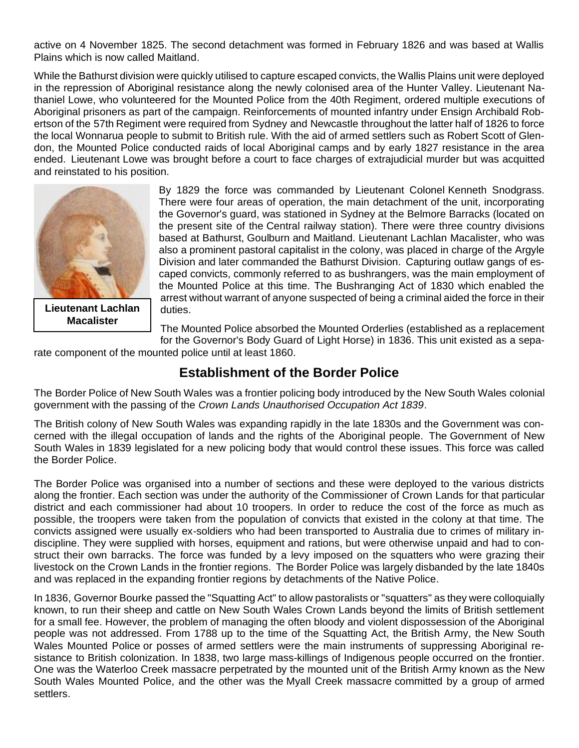active on 4 November 1825. The second detachment was formed in February 1826 and was based at Wallis Plains which is now called [Maitland.](https://www.wikiwand.com/en/Maitland,_New_South_Wales)

While the Bathurst division were quickly utilised to capture escaped convicts, the Wallis Plains unit were deployed in the repression of Aboriginal resistance along the newly colonised area of the [Hunter](https://www.wikiwand.com/en/Hunter_Valley) Valley. Lieutenant Nathaniel Lowe, who volunteered for the Mounted Police from the 40th [Regiment,](https://www.wikiwand.com/en/40th_Regiment_of_Foot) ordered multiple executions of Aboriginal prisoners as part of the campaign. Reinforcements of mounted infantry under Ensign Archibald Robertson of the 57th [Regiment](https://www.wikiwand.com/en/57th_Regiment_of_Foot) were required from [Sydney](https://www.wikiwand.com/en/Sydney) and [Newcastle](https://www.wikiwand.com/en/Newcastle,_New_South_Wales) throughout the latter half of 1826 to force the local [Wonnarua](https://www.wikiwand.com/en/Wonnarua) people to submit to British rule. With the aid of armed settlers such as Robert Scott of Glendon, the Mounted Police conducted raids of local Aboriginal camps and by early 1827 resistance in the area ended. Lieutenant Lowe was brought before a court to face charges of extrajudicial murder but was acquitted and reinstated to his position.



**Lieutenant Lachlan Macalister**

By 1829 the force was commanded by Lieutenant Colonel Kenneth [Snodgrass.](https://www.wikiwand.com/en/Kenneth_Snodgrass) There were four areas of operation, the main detachment of the unit, incorporating the Governor's guard, was stationed in Sydney at the Belmore Barracks (located on the present site of the [Central](https://www.wikiwand.com/en/Central_railway_station,_Sydney) railway station). There were three country divisions based at Bathurst, [Goulburn](https://www.wikiwand.com/en/Goulburn) and Maitland. Lieutenant Lachlan Macalister, who was also a prominent pastoral capitalist in the colony, was placed in charge of the Argyle Division and later commanded the Bathurst Division. Capturing outlaw gangs of escaped convicts, commonly referred to as [bushrangers,](https://www.wikiwand.com/en/Bushranger) was the main employment of the Mounted Police at this time. The Bushranging Act of 1830 which enabled the arrest without warrant of anyone suspected of being a criminal aided the force in their duties.

The Mounted Police absorbed the Mounted Orderlies (established as a replacement

for the [Governor's](https://www.wikiwand.com/en/Governor%27s_Body_Guard_of_Light_Horse) Body Guard of Light Horse) in 1836. This unit existed as a separate component of the mounted police until at least 1860.

#### **Establishment of the Border Police**

The Border Police of New South Wales was a frontier policing body introduced by the New South [Wales](https://www.wikiwand.com/en/New_South_Wales) colonial government with the passing of the *Crown Lands Unauthorised Occupation Act 1839*.

The British colony of New South Wales was expanding rapidly in the late 1830s and the Government was concerned with the illegal occupation of lands and the rights of the Aboriginal people. The [Government](https://www.wikiwand.com/en/Government_of_New_South_Wales) of New South [Wales](https://www.wikiwand.com/en/Government_of_New_South_Wales) in 1839 legislated for a new policing body that would control these issues. This force was called the Border Police.

The Border Police was organised into a number of sections and these were deployed to the various districts along the frontier. Each section was under the authority of the [Commissioner](https://www.wikiwand.com/en/Commissioner_of_Crown_Lands_(Australia)) of Crown Lands for that particular district and each commissioner had about 10 troopers. In order to reduce the cost of the force as much as possible, the troopers were taken from the population of convicts that existed in the colony at that time. The convicts assigned were usually ex-soldiers who had been transported to Australia due to crimes of military indiscipline. They were supplied with horses, equipment and rations, but were otherwise unpaid and had to construct their own barracks. The force was funded by a levy imposed on the [squatters](https://www.wikiwand.com/en/Squattocracy) who were grazing their livestock on the Crown Lands in the frontier regions. The Border Police was largely disbanded by the late 1840s and was replaced in the expanding frontier regions by detachments of the Native [Police.](https://www.wikiwand.com/en/Native_Police)

In 1836, [Governor](https://www.wikiwand.com/en/Richard_Bourke) Bourke passed the "Squatting Act" to allow pastoralists or ["squatters"](https://www.wikiwand.com/en/Squattocracy) as they were colloquially known, to run their sheep and cattle on New South Wales Crown Lands beyond the limits of British settlement for a small fee. However, the problem of managing the often bloody and violent dispossession of the Aboriginal people was not addressed. From 1788 up to the time of the Squatting Act, the [British](https://www.wikiwand.com/en/British_Army) Army, the New [South](https://www.wikiwand.com/en/New_South_Wales_Mounted_Police) Wales [Mounted](https://www.wikiwand.com/en/New_South_Wales_Mounted_Police) Police or posses of armed settlers were the main instruments of suppressing Aboriginal resistance to British colonization. In 1838, two large [mass-killings](https://www.wikiwand.com/en/List_of_massacres_of_Indigenous_Australians) of Indigenous people occurred on the frontier. One was the Waterloo Creek [massacre](https://www.wikiwand.com/en/Waterloo_Creek_massacre) perpetrated by the mounted unit of the [British](https://www.wikiwand.com/en/British_Army) Army known as the [New](https://www.wikiwand.com/en/New_South_Wales_Mounted_Police) South Wales [Mounted](https://www.wikiwand.com/en/New_South_Wales_Mounted_Police) Police, and the other was the Myall Creek [massacre](https://www.wikiwand.com/en/Myall_Creek_massacre) committed by a group of armed settlers.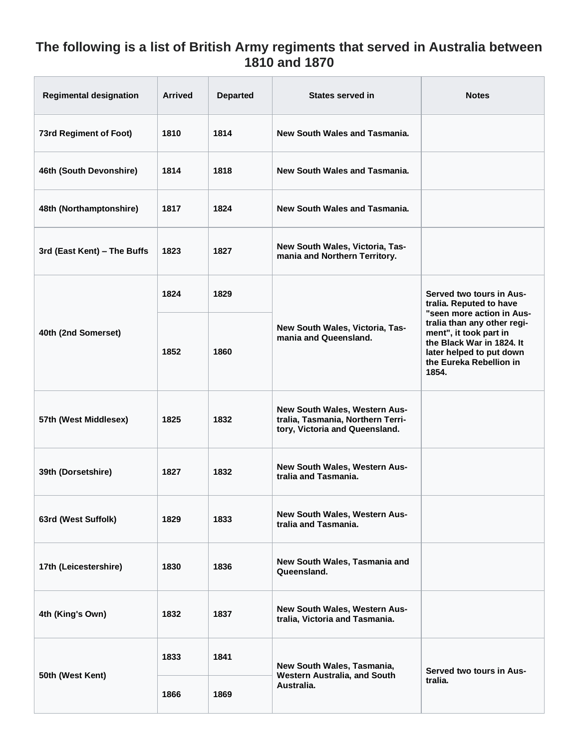### **The following is a list of British Army regiments that served in Australia between 1810 and 1870**

| <b>Regimental designation</b> | <b>Arrived</b> | <b>Departed</b> | <b>States served in</b>                                                                              | <b>Notes</b>                                                                                                                                                                    |
|-------------------------------|----------------|-----------------|------------------------------------------------------------------------------------------------------|---------------------------------------------------------------------------------------------------------------------------------------------------------------------------------|
| 73rd Regiment of Foot)        | 1810           | 1814            | New South Wales and Tasmania.                                                                        |                                                                                                                                                                                 |
| 46th (South Devonshire)       | 1814           | 1818            | New South Wales and Tasmania.                                                                        |                                                                                                                                                                                 |
| 48th (Northamptonshire)       | 1817           | 1824            | New South Wales and Tasmania.                                                                        |                                                                                                                                                                                 |
| 3rd (East Kent) - The Buffs   | 1823           | 1827            | New South Wales, Victoria, Tas-<br>mania and Northern Territory.                                     |                                                                                                                                                                                 |
| 40th (2nd Somerset)           | 1824           | 1829            | New South Wales, Victoria, Tas-<br>mania and Queensland.                                             | Served two tours in Aus-<br>tralia. Reputed to have                                                                                                                             |
|                               | 1852           | 1860            |                                                                                                      | "seen more action in Aus-<br>tralia than any other regi-<br>ment", it took part in<br>the Black War in 1824. It<br>later helped to put down<br>the Eureka Rebellion in<br>1854. |
| 57th (West Middlesex)         | 1825           | 1832            | New South Wales, Western Aus-<br>tralia, Tasmania, Northern Terri-<br>tory, Victoria and Queensland. |                                                                                                                                                                                 |
| 39th (Dorsetshire)            | 1827           | 1832            | New South Wales, Western Aus-<br>tralia and Tasmania.                                                |                                                                                                                                                                                 |
| 63rd (West Suffolk)           | 1829           | 1833            | New South Wales, Western Aus-<br>tralia and Tasmania.                                                |                                                                                                                                                                                 |
| 17th (Leicestershire)         | 1830           | 1836            | New South Wales, Tasmania and<br>Queensland.                                                         |                                                                                                                                                                                 |
| 4th (King's Own)              | 1832           | 1837            | New South Wales, Western Aus-<br>tralia, Victoria and Tasmania.                                      |                                                                                                                                                                                 |
| 50th (West Kent)              | 1833           | 1841            | New South Wales, Tasmania,<br>Western Australia, and South<br>Australia.                             | Served two tours in Aus-<br>tralia.                                                                                                                                             |
|                               | 1866           | 1869            |                                                                                                      |                                                                                                                                                                                 |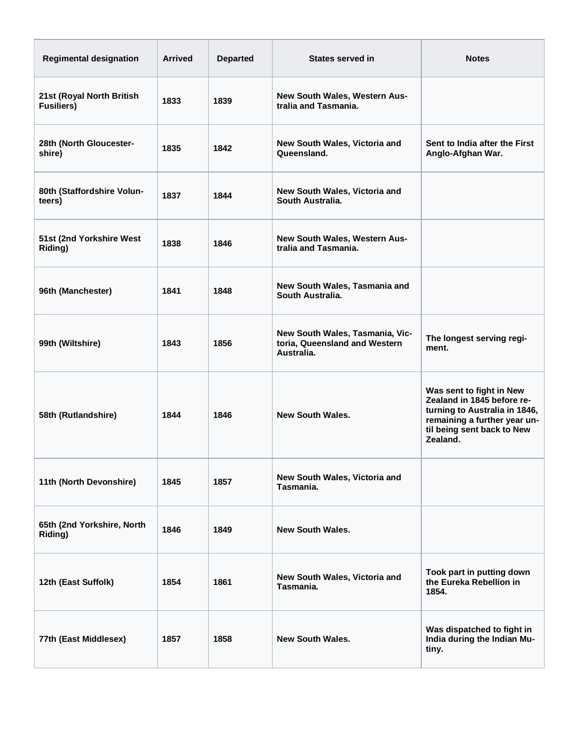| <b>Regimental designation</b>                  | <b>Arrived</b> | <b>Departed</b> | States served in                                                               | <b>Notes</b>                                                                                                                                                      |
|------------------------------------------------|----------------|-----------------|--------------------------------------------------------------------------------|-------------------------------------------------------------------------------------------------------------------------------------------------------------------|
| 21st (Royal North British<br><b>Fusiliers)</b> | 1833           | 1839            | <b>New South Wales, Western Aus-</b><br>tralia and Tasmania.                   |                                                                                                                                                                   |
| 28th (North Gloucester-<br>shire)              | 1835           | 1842            | New South Wales, Victoria and<br>Queensland.                                   | Sent to India after the First<br>Anglo-Afghan War.                                                                                                                |
| 80th (Staffordshire Volun-<br>teers)           | 1837           | 1844            | New South Wales, Victoria and<br>South Australia.                              |                                                                                                                                                                   |
| 51st (2nd Yorkshire West<br>Riding)            | 1838           | 1846            | New South Wales, Western Aus-<br>tralia and Tasmania.                          |                                                                                                                                                                   |
| 96th (Manchester)                              | 1841           | 1848            | New South Wales, Tasmania and<br>South Australia.                              |                                                                                                                                                                   |
| 99th (Wiltshire)                               | 1843           | 1856            | New South Wales, Tasmania, Vic-<br>toria, Queensland and Western<br>Australia. | The longest serving regi-<br>ment.                                                                                                                                |
| 58th (Rutlandshire)                            | 1844           | 1846            | <b>New South Wales.</b>                                                        | Was sent to fight in New<br>Zealand in 1845 before re-<br>turning to Australia in 1846,<br>remaining a further year un-<br>til being sent back to New<br>Zealand. |
| 11th (North Devonshire)                        | 1845           | 1857            | New South Wales, Victoria and<br>Tasmania.                                     |                                                                                                                                                                   |
| 65th (2nd Yorkshire, North<br>Riding)          | 1846           | 1849            | <b>New South Wales.</b>                                                        |                                                                                                                                                                   |
| 12th (East Suffolk)                            | 1854           | 1861            | New South Wales, Victoria and<br>Tasmania.                                     | Took part in putting down<br>the Eureka Rebellion in<br>1854.                                                                                                     |
| 77th (East Middlesex)                          | 1857           | 1858            | <b>New South Wales.</b>                                                        | Was dispatched to fight in<br>India during the Indian Mu-<br>tiny.                                                                                                |